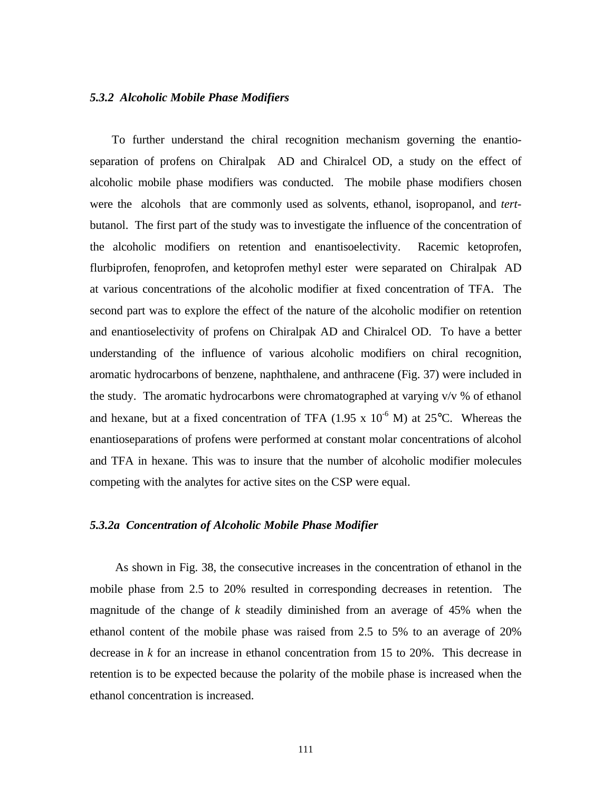#### *5.3.2 Alcoholic Mobile Phase Modifiers*

 To further understand the chiral recognition mechanism governing the enantioseparation of profens on Chiralpak AD and Chiralcel OD, a study on the effect of alcoholic mobile phase modifiers was conducted. The mobile phase modifiers chosen were the alcohols that are commonly used as solvents, ethanol, isopropanol, and *tert*butanol. The first part of the study was to investigate the influence of the concentration of the alcoholic modifiers on retention and enantisoelectivity. Racemic ketoprofen, flurbiprofen, fenoprofen, and ketoprofen methyl ester were separated on Chiralpak AD at various concentrations of the alcoholic modifier at fixed concentration of TFA. The second part was to explore the effect of the nature of the alcoholic modifier on retention and enantioselectivity of profens on Chiralpak AD and Chiralcel OD. To have a better understanding of the influence of various alcoholic modifiers on chiral recognition, aromatic hydrocarbons of benzene, naphthalene, and anthracene (Fig. 37) were included in the study. The aromatic hydrocarbons were chromatographed at varying v/v % of ethanol and hexane, but at a fixed concentration of TFA (1.95 x  $10^{-6}$  M) at 25 $^{\circ}$ C. Whereas the enantioseparations of profens were performed at constant molar concentrations of alcohol and TFA in hexane. This was to insure that the number of alcoholic modifier molecules competing with the analytes for active sites on the CSP were equal.

# *5.3.2a Concentration of Alcoholic Mobile Phase Modifier*

 As shown in Fig. 38, the consecutive increases in the concentration of ethanol in the mobile phase from 2.5 to 20% resulted in corresponding decreases in retention. The magnitude of the change of *k* steadily diminished from an average of 45% when the ethanol content of the mobile phase was raised from 2.5 to 5% to an average of 20% decrease in *k* for an increase in ethanol concentration from 15 to 20%. This decrease in retention is to be expected because the polarity of the mobile phase is increased when the ethanol concentration is increased.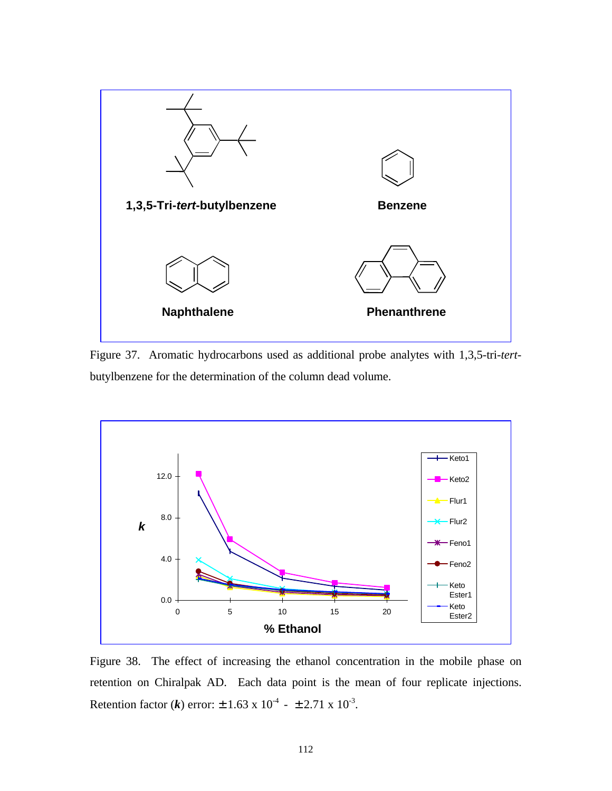

Figure 37. Aromatic hydrocarbons used as additional probe analytes with 1,3,5-tri-*tert*butylbenzene for the determination of the column dead volume.



Figure 38. The effect of increasing the ethanol concentration in the mobile phase on retention on Chiralpak AD. Each data point is the mean of four replicate injections. Retention factor (*k*) error:  $\pm 1.63 \times 10^{-4}$  -  $\pm 2.71 \times 10^{-3}$ .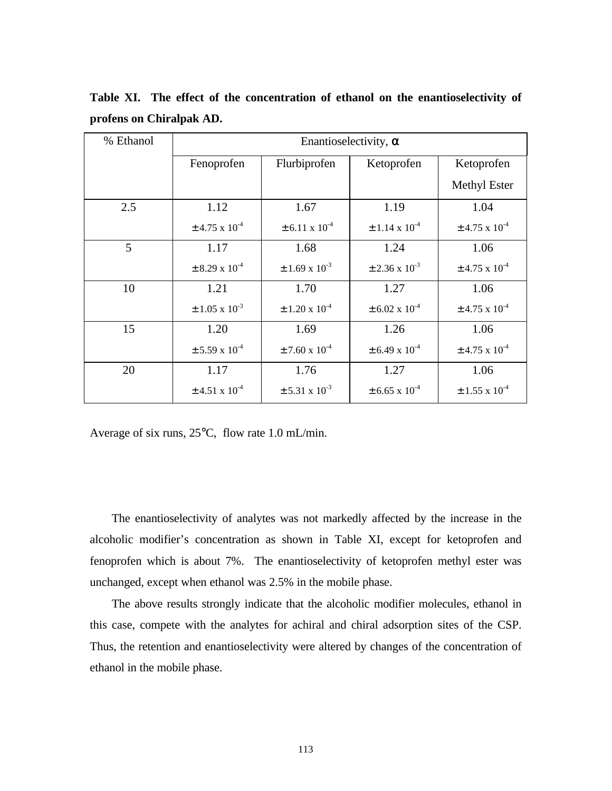| % Ethanol | Enantioselectivity, $\alpha$  |                               |                               |                               |
|-----------|-------------------------------|-------------------------------|-------------------------------|-------------------------------|
|           | Fenoprofen                    | Flurbiprofen                  | Ketoprofen                    | Ketoprofen                    |
|           |                               |                               |                               | <b>Methyl Ester</b>           |
| 2.5       | 1.12                          | 1.67                          | 1.19                          | 1.04                          |
|           | $\pm$ 4.75 x 10 <sup>-4</sup> | $\pm$ 6.11 x 10 <sup>-4</sup> | $\pm$ 1.14 x 10 <sup>-4</sup> | $\pm$ 4.75 x 10 <sup>-4</sup> |
| 5         | 1.17                          | 1.68                          | 1.24                          | 1.06                          |
|           | $\pm$ 8.29 x 10 <sup>-4</sup> | $\pm$ 1.69 x 10 <sup>-3</sup> | $\pm$ 2.36 x 10 <sup>-3</sup> | $\pm$ 4.75 x 10 <sup>-4</sup> |
| 10        | 1.21                          | 1.70                          | 1.27                          | 1.06                          |
|           | $\pm 1.05 \times 10^{-3}$     | $\pm$ 1.20 x 10 <sup>-4</sup> | $\pm$ 6.02 x 10 <sup>-4</sup> | $\pm$ 4.75 x 10 <sup>-4</sup> |
| 15        | 1.20                          | 1.69                          | 1.26                          | 1.06                          |
|           | $\pm$ 5.59 x 10 <sup>-4</sup> | $\pm$ 7.60 x 10 <sup>-4</sup> | $\pm$ 6.49 x 10 <sup>-4</sup> | $\pm$ 4.75 x 10 <sup>-4</sup> |
| 20        | 1.17                          | 1.76                          | 1.27                          | 1.06                          |
|           | $\pm$ 4.51 x 10 <sup>-4</sup> | $\pm$ 5.31 x 10 <sup>-3</sup> | $\pm$ 6.65 x 10 <sup>-4</sup> | $\pm$ 1.55 x 10 <sup>-4</sup> |

**Table XI. The effect of the concentration of ethanol on the enantioselectivity of profens on Chiralpak AD.**

Average of six runs, 25°C, flow rate 1.0 mL/min.

 The enantioselectivity of analytes was not markedly affected by the increase in the alcoholic modifier's concentration as shown in Table XI, except for ketoprofen and fenoprofen which is about 7%. The enantioselectivity of ketoprofen methyl ester was unchanged, except when ethanol was 2.5% in the mobile phase.

 The above results strongly indicate that the alcoholic modifier molecules, ethanol in this case, compete with the analytes for achiral and chiral adsorption sites of the CSP. Thus, the retention and enantioselectivity were altered by changes of the concentration of ethanol in the mobile phase.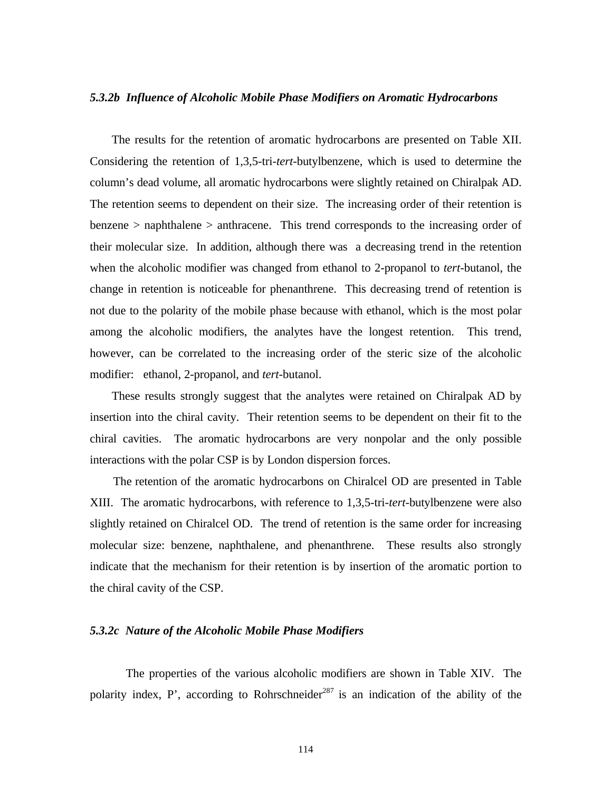#### *5.3.2b Influence of Alcoholic Mobile Phase Modifiers on Aromatic Hydrocarbons*

 The results for the retention of aromatic hydrocarbons are presented on Table XII. Considering the retention of 1,3,5-tri-*tert*-butylbenzene, which is used to determine the column's dead volume, all aromatic hydrocarbons were slightly retained on Chiralpak AD. The retention seems to dependent on their size. The increasing order of their retention is benzene > naphthalene > anthracene. This trend corresponds to the increasing order of their molecular size. In addition, although there was a decreasing trend in the retention when the alcoholic modifier was changed from ethanol to 2-propanol to *tert*-butanol, the change in retention is noticeable for phenanthrene. This decreasing trend of retention is not due to the polarity of the mobile phase because with ethanol, which is the most polar among the alcoholic modifiers, the analytes have the longest retention. This trend, however, can be correlated to the increasing order of the steric size of the alcoholic modifier: ethanol, 2-propanol, and *tert*-butanol.

 These results strongly suggest that the analytes were retained on Chiralpak AD by insertion into the chiral cavity. Their retention seems to be dependent on their fit to the chiral cavities. The aromatic hydrocarbons are very nonpolar and the only possible interactions with the polar CSP is by London dispersion forces.

 The retention of the aromatic hydrocarbons on Chiralcel OD are presented in Table XIII. The aromatic hydrocarbons, with reference to 1,3,5-tri-*tert*-butylbenzene were also slightly retained on Chiralcel OD. The trend of retention is the same order for increasing molecular size: benzene, naphthalene, and phenanthrene. These results also strongly indicate that the mechanism for their retention is by insertion of the aromatic portion to the chiral cavity of the CSP.

## *5.3.2c Nature of the Alcoholic Mobile Phase Modifiers*

The properties of the various alcoholic modifiers are shown in Table XIV. The polarity index, P', according to Rohrschneider<sup>287</sup> is an indication of the ability of the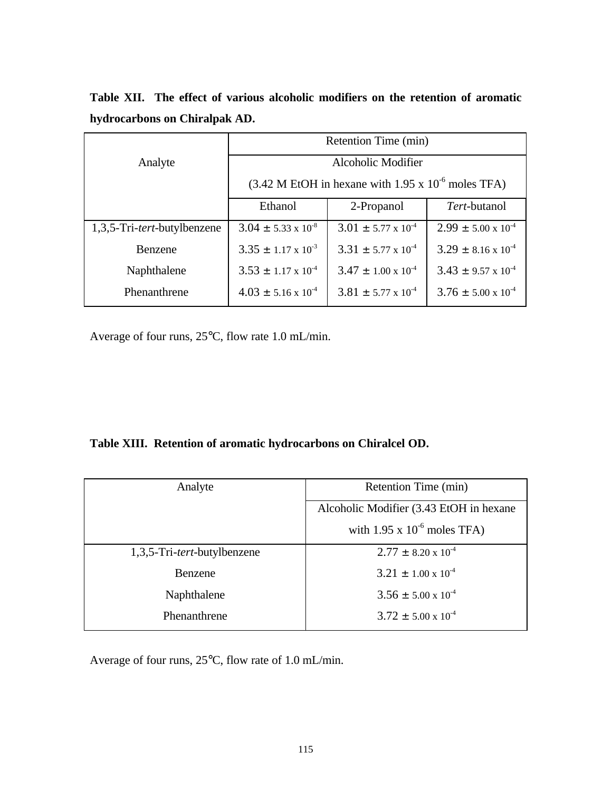|                                      | Retention Time (min)                                                                              |                                |                                |  |
|--------------------------------------|---------------------------------------------------------------------------------------------------|--------------------------------|--------------------------------|--|
| Analyte                              | Alcoholic Modifier                                                                                |                                |                                |  |
|                                      | $(3.42 \text{ M} \text{ EtOH} \text{ in hexane with } 1.95 \text{ x } 10^{-6} \text{ moles TFA})$ |                                |                                |  |
|                                      | Ethanol                                                                                           | 2-Propanol                     | Tert-butanol                   |  |
| 1,3,5-Tri- <i>tert</i> -butylbenzene | $3.04 \pm 5.33 \times 10^{-8}$                                                                    | $3.01 \pm 5.77 \times 10^{-4}$ | $2.99 \pm 5.00 \times 10^{-4}$ |  |
| <b>Benzene</b>                       | $3.35 \pm 1.17 \times 10^{-3}$                                                                    | $3.31 \pm 5.77 \times 10^{-4}$ | $3.29 \pm 8.16 \times 10^{-4}$ |  |
| Naphthalene                          | $3.53 \pm 1.17 \times 10^{-4}$                                                                    | $3.47 \pm 1.00 \times 10^{-4}$ | $3.43 \pm 9.57 \times 10^{-4}$ |  |
| Phenanthrene                         | $4.03 \pm 5.16 \times 10^{-4}$                                                                    | $3.81 \pm 5.77 \times 10^{-4}$ | $3.76 \pm 5.00 \times 10^{-4}$ |  |

**Table XII. The effect of various alcoholic modifiers on the retention of aromatic hydrocarbons on Chiralpak AD.**

Average of four runs, 25°C, flow rate 1.0 mL/min.

# **Table XIII. Retention of aromatic hydrocarbons on Chiralcel OD.**

| Analyte                              | Retention Time (min)                    |  |
|--------------------------------------|-----------------------------------------|--|
|                                      | Alcoholic Modifier (3.43 EtOH in hexane |  |
|                                      | with $1.95 \times 10^{-6}$ moles TFA)   |  |
| 1,3,5-Tri- <i>tert</i> -butylbenzene | $2.77 \pm 8.20 \times 10^{-4}$          |  |
| Benzene                              | $3.21 \pm 1.00 \times 10^{-4}$          |  |
| Naphthalene                          | $3.56 \pm 5.00 \times 10^{-4}$          |  |
| Phenanthrene                         | $3.72 \pm 5.00 \times 10^{-4}$          |  |

Average of four runs, 25°C, flow rate of 1.0 mL/min.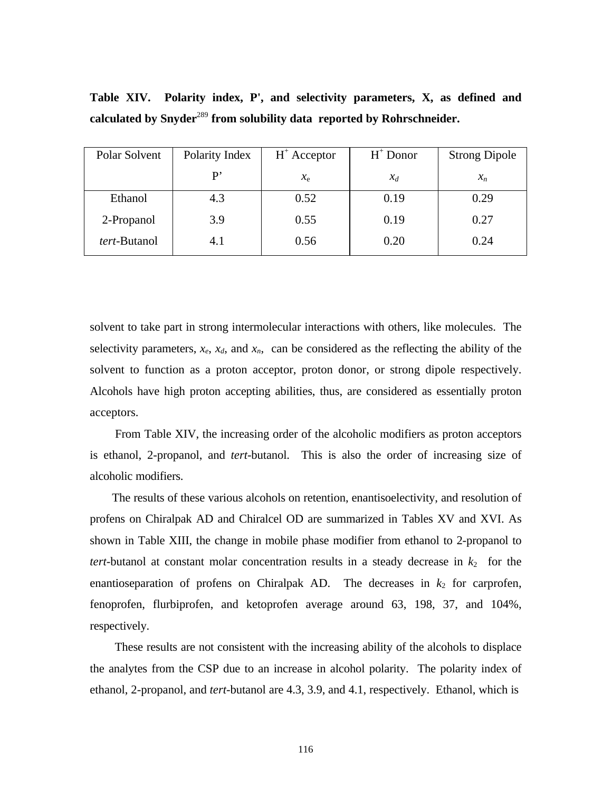| Polar Solvent        | Polarity Index | $H^+$ Acceptor | $H^+$ Donor | <b>Strong Dipole</b> |
|----------------------|----------------|----------------|-------------|----------------------|
|                      | P'             | $x_{e}$        | $x_d$       | $x_n$                |
| Ethanol              | 4.3            | 0.52           | 0.19        | 0.29                 |
| 2-Propanol           | 3.9            | 0.55           | 0.19        | 0.27                 |
| <i>tert</i> -Butanol | 4.1            | 0.56           | 0.20        | 0.24                 |

**Table XIV. Polarity index, P', and selectivity parameters, X, as defined and calculated by Snyder**<sup>289</sup> **from solubility data reported by Rohrschneider.**

solvent to take part in strong intermolecular interactions with others, like molecules. The selectivity parameters,  $x_e$ ,  $x_d$ , and  $x_n$ , can be considered as the reflecting the ability of the solvent to function as a proton acceptor, proton donor, or strong dipole respectively. Alcohols have high proton accepting abilities, thus, are considered as essentially proton acceptors.

 From Table XIV, the increasing order of the alcoholic modifiers as proton acceptors is ethanol, 2-propanol, and *tert*-butanol. This is also the order of increasing size of alcoholic modifiers.

 The results of these various alcohols on retention, enantisoelectivity, and resolution of profens on Chiralpak AD and Chiralcel OD are summarized in Tables XV and XVI. As shown in Table XIII, the change in mobile phase modifier from ethanol to 2-propanol to *tert*-butanol at constant molar concentration results in a steady decrease in  $k_2$  for the enantioseparation of profens on Chiralpak AD. The decreases in  $k_2$  for carprofen, fenoprofen, flurbiprofen, and ketoprofen average around 63, 198, 37, and 104%, respectively.

 These results are not consistent with the increasing ability of the alcohols to displace the analytes from the CSP due to an increase in alcohol polarity. The polarity index of ethanol, 2-propanol, and *tert*-butanol are 4.3, 3.9, and 4.1, respectively. Ethanol, which is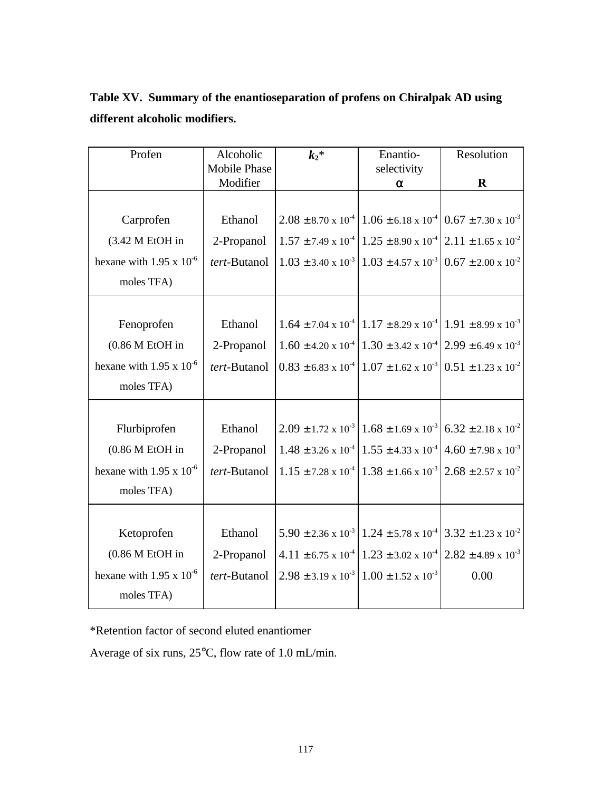| Table XV. Summary of the enantioseparation of profens on Chiralpak AD using |
|-----------------------------------------------------------------------------|
| different alcoholic modifiers.                                              |

| Profen                            | Alcoholic           | $k_2$ *                        | Enantio-                                                                                             | Resolution                                                                                           |
|-----------------------------------|---------------------|--------------------------------|------------------------------------------------------------------------------------------------------|------------------------------------------------------------------------------------------------------|
|                                   | <b>Mobile Phase</b> |                                | selectivity                                                                                          |                                                                                                      |
|                                   | Modifier            |                                | α                                                                                                    | $\mathbf R$                                                                                          |
|                                   |                     |                                |                                                                                                      |                                                                                                      |
| Carprofen                         | Ethanol             |                                | $2.08 \pm 8.70 \times 10^{-4}$ 1.06 ± 6.18 x 10 <sup>-4</sup> 0.67 ± 7.30 x 10 <sup>-3</sup>         |                                                                                                      |
| (3.42 M EtOH in                   | 2-Propanol          |                                |                                                                                                      | $1.57 \pm 7.49 \times 10^{-4}$ 1.25 $\pm$ 8.90 x 10 <sup>-4</sup> 2.11 $\pm$ 1.65 x 10 <sup>-2</sup> |
| hexane with $1.95 \times 10^{-6}$ | tert-Butanol        |                                | $1.03 \pm 3.40 \times 10^{-3}$ 1.03 $\pm 4.57 \times 10^{-3}$                                        | $0.67 \pm 2.00 \times 10^{-2}$                                                                       |
| moles TFA)                        |                     |                                |                                                                                                      |                                                                                                      |
|                                   |                     |                                |                                                                                                      |                                                                                                      |
| Fenoprofen                        | Ethanol             |                                | $1.64 \pm 7.04 \times 10^{-4}$ 1.17 $\pm$ 8.29 x 10 <sup>-4</sup> 1.91 $\pm$ 8.99 x 10 <sup>-3</sup> |                                                                                                      |
| $(0.86 M$ EtOH in                 | 2-Propanol          |                                | $1.60 \pm 4.20 \times 10^{-4}$ $1.30 \pm 3.42 \times 10^{-4}$ $2.99 \pm 6.49 \times 10^{-3}$         |                                                                                                      |
| hexane with 1.95 x $10^{-6}$      | tert-Butanol        |                                | $0.83 \pm 6.83 \times 10^{-4} \cdot 1.07 \pm 1.62 \times 10^{-3}$                                    | $0.51 \pm 1.23 \times 10^{-2}$                                                                       |
| moles TFA)                        |                     |                                |                                                                                                      |                                                                                                      |
|                                   |                     |                                |                                                                                                      |                                                                                                      |
| Flurbiprofen                      | Ethanol             |                                | $2.09 \pm 1.72 \times 10^{-3} \pm 1.68 \pm 1.69 \times 10^{-3} \pm 6.32 \pm 2.18 \times 10^{-2}$     |                                                                                                      |
| $(0.86 M$ EtOH in                 | 2-Propanol          |                                | $1.48 \pm 3.26 \times 10^{-4}$ 1.55 ± 4.33 x 10 <sup>-4</sup>                                        | $4.60 \pm 7.98 \times 10^{-3}$                                                                       |
| hexane with $1.95 \times 10^{-6}$ | tert-Butanol        |                                | $1.15 \pm 7.28 \times 10^{-4}$ 1.38 ± 1.66 x 10 <sup>-3</sup>                                        | $2.68 \pm 2.57 \times 10^{-2}$                                                                       |
| moles TFA)                        |                     |                                |                                                                                                      |                                                                                                      |
|                                   |                     |                                |                                                                                                      |                                                                                                      |
| Ketoprofen                        | Ethanol             |                                | $5.90 \pm 2.36 \times 10^{-3}$ 1.24 $\pm$ 5.78 x 10 <sup>-4</sup> 3.32 $\pm$ 1.23 x 10 <sup>-2</sup> |                                                                                                      |
| $(0.86 M$ EtOH in                 | 2-Propanol          |                                | $4.11 \pm 6.75 \times 10^{-4}$ 1.23 ± 3.02 x 10 <sup>-4</sup> 2.82 ± 4.89 x 10 <sup>-3</sup>         |                                                                                                      |
| hexane with 1.95 x $10^{-6}$      | tert-Butanol        | $2.98 \pm 3.19 \times 10^{-3}$ | $1.00 \pm 1.52 \times 10^{-3}$                                                                       | 0.00                                                                                                 |
| moles TFA)                        |                     |                                |                                                                                                      |                                                                                                      |

\*Retention factor of second eluted enantiomer

Average of six runs, 25°C, flow rate of 1.0 mL/min.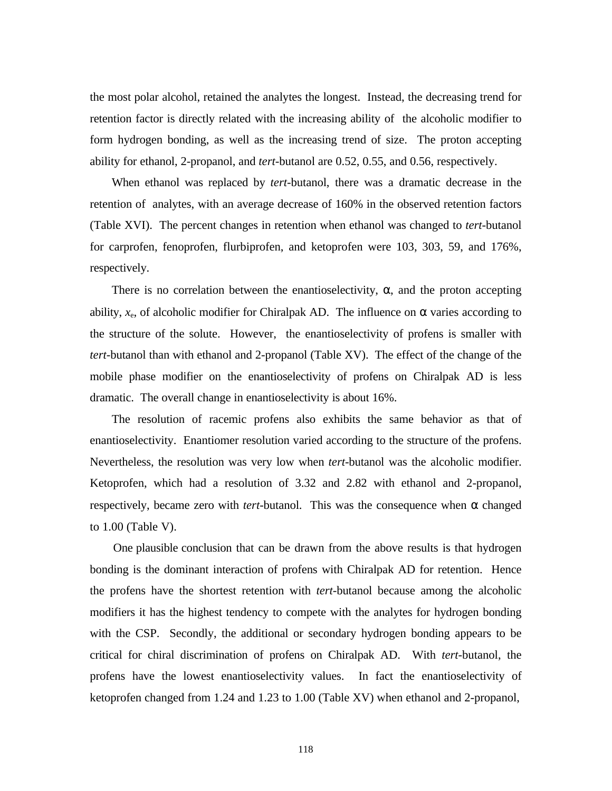the most polar alcohol, retained the analytes the longest. Instead, the decreasing trend for retention factor is directly related with the increasing ability of the alcoholic modifier to form hydrogen bonding, as well as the increasing trend of size. The proton accepting ability for ethanol, 2-propanol, and *tert*-butanol are 0.52, 0.55, and 0.56, respectively.

 When ethanol was replaced by *tert*-butanol, there was a dramatic decrease in the retention of analytes, with an average decrease of 160% in the observed retention factors (Table XVI). The percent changes in retention when ethanol was changed to *tert*-butanol for carprofen, fenoprofen, flurbiprofen, and ketoprofen were 103, 303, 59, and 176%, respectively.

There is no correlation between the enantioselectivity,  $\alpha$ , and the proton accepting ability,  $x_e$ , of alcoholic modifier for Chiralpak AD. The influence on  $\alpha$  varies according to the structure of the solute. However, the enantioselectivity of profens is smaller with *tert*-butanol than with ethanol and 2-propanol (Table XV). The effect of the change of the mobile phase modifier on the enantioselectivity of profens on Chiralpak AD is less dramatic. The overall change in enantioselectivity is about 16%.

 The resolution of racemic profens also exhibits the same behavior as that of enantioselectivity. Enantiomer resolution varied according to the structure of the profens. Nevertheless, the resolution was very low when *tert*-butanol was the alcoholic modifier. Ketoprofen, which had a resolution of 3.32 and 2.82 with ethanol and 2-propanol, respectively, became zero with *tert*-butanol. This was the consequence when  $α$  changed to 1.00 (Table V).

 One plausible conclusion that can be drawn from the above results is that hydrogen bonding is the dominant interaction of profens with Chiralpak AD for retention. Hence the profens have the shortest retention with *tert*-butanol because among the alcoholic modifiers it has the highest tendency to compete with the analytes for hydrogen bonding with the CSP. Secondly, the additional or secondary hydrogen bonding appears to be critical for chiral discrimination of profens on Chiralpak AD. With *tert*-butanol, the profens have the lowest enantioselectivity values. In fact the enantioselectivity of ketoprofen changed from 1.24 and 1.23 to 1.00 (Table XV) when ethanol and 2-propanol,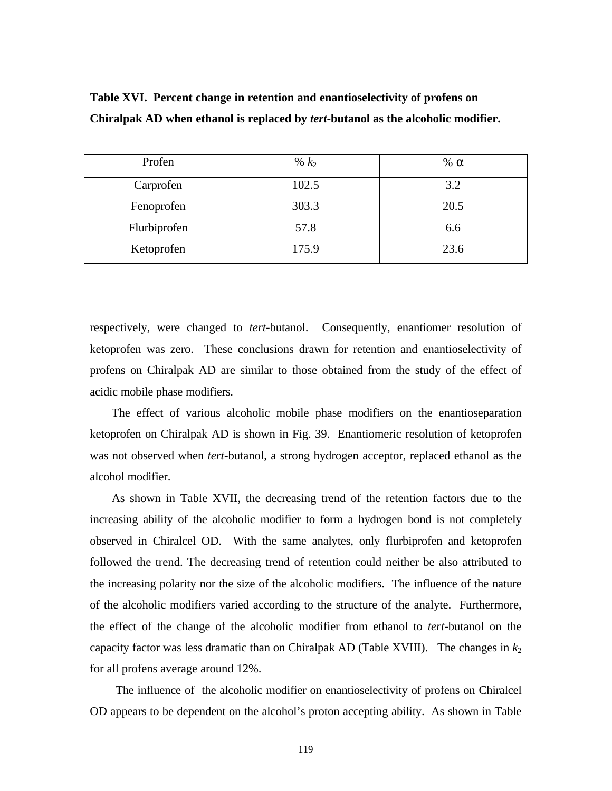| Profen       | % $k_2$ | % $\alpha$ |
|--------------|---------|------------|
| Carprofen    | 102.5   | 3.2        |
| Fenoprofen   | 303.3   | 20.5       |
| Flurbiprofen | 57.8    | 6.6        |
| Ketoprofen   | 175.9   | 23.6       |

**Table XVI. Percent change in retention and enantioselectivity of profens on Chiralpak AD when ethanol is replaced by** *tert***-butanol as the alcoholic modifier.**

respectively, were changed to *tert*-butanol. Consequently, enantiomer resolution of ketoprofen was zero. These conclusions drawn for retention and enantioselectivity of profens on Chiralpak AD are similar to those obtained from the study of the effect of acidic mobile phase modifiers.

 The effect of various alcoholic mobile phase modifiers on the enantioseparation ketoprofen on Chiralpak AD is shown in Fig. 39. Enantiomeric resolution of ketoprofen was not observed when *tert*-butanol, a strong hydrogen acceptor, replaced ethanol as the alcohol modifier.

 As shown in Table XVII, the decreasing trend of the retention factors due to the increasing ability of the alcoholic modifier to form a hydrogen bond is not completely observed in Chiralcel OD. With the same analytes, only flurbiprofen and ketoprofen followed the trend. The decreasing trend of retention could neither be also attributed to the increasing polarity nor the size of the alcoholic modifiers. The influence of the nature of the alcoholic modifiers varied according to the structure of the analyte. Furthermore, the effect of the change of the alcoholic modifier from ethanol to *tert*-butanol on the capacity factor was less dramatic than on Chiralpak AD (Table XVIII). The changes in  $k_2$ for all profens average around 12%.

 The influence of the alcoholic modifier on enantioselectivity of profens on Chiralcel OD appears to be dependent on the alcohol's proton accepting ability. As shown in Table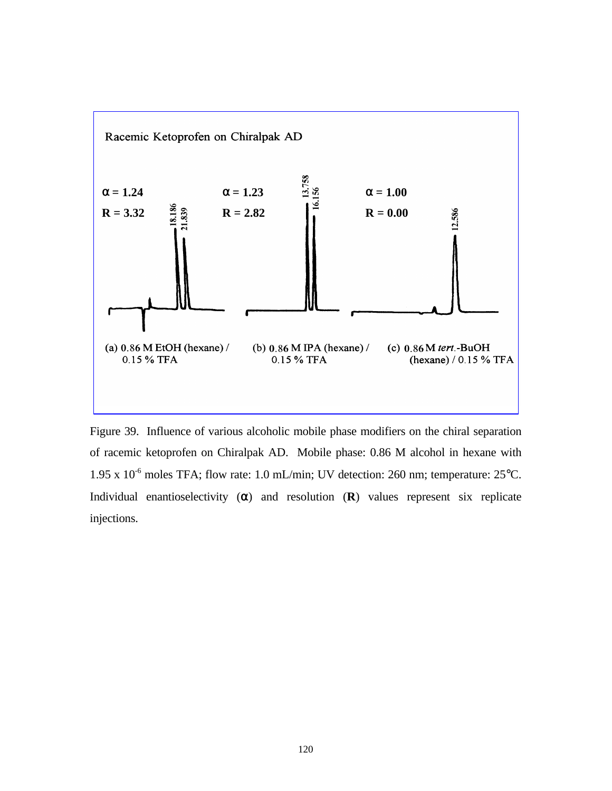

Figure 39. Influence of various alcoholic mobile phase modifiers on the chiral separation of racemic ketoprofen on Chiralpak AD. Mobile phase: 0.86 M alcohol in hexane with 1.95 x  $10^{-6}$  moles TFA; flow rate: 1.0 mL/min; UV detection: 260 nm; temperature: 25 $^{\circ}$ C. Individual enantioselectivity (α) and resolution (**R**) values represent six replicate injections.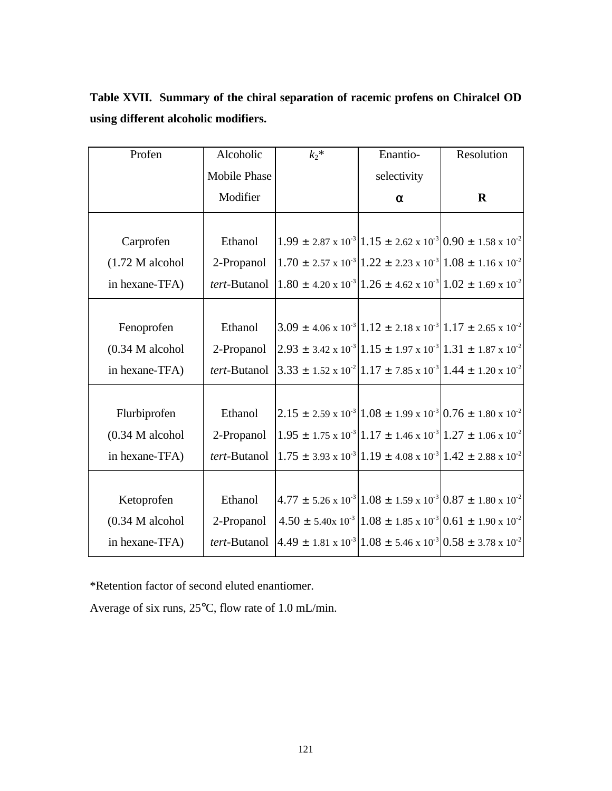| Table XVII. Summary of the chiral separation of racemic profens on Chiralcel OD |  |  |
|---------------------------------------------------------------------------------|--|--|
| using different alcoholic modifiers.                                            |  |  |

| Profen            | Alcoholic           | $k_2$ *                                                                                                                        | Enantio-    | Resolution                                                                                     |
|-------------------|---------------------|--------------------------------------------------------------------------------------------------------------------------------|-------------|------------------------------------------------------------------------------------------------|
|                   | <b>Mobile Phase</b> |                                                                                                                                | selectivity |                                                                                                |
|                   | Modifier            |                                                                                                                                | $\alpha$    | $\mathbf R$                                                                                    |
|                   |                     |                                                                                                                                |             |                                                                                                |
| Carprofen         | Ethanol             |                                                                                                                                |             | $1.99 \pm 2.87 \times 10^{-3}   1.15 \pm 2.62 \times 10^{-3}   0.90 \pm 1.58 \times 10^{-2}$   |
| $(1.72 M$ alcohol | 2-Propanol          |                                                                                                                                |             | $1.70 \pm 2.57 \times 10^{-3}   1.22 \pm 2.23 \times 10^{-3}   1.08 \pm 1.16 \times 10^{-2}$   |
| in hexane-TFA)    | tert-Butanol        |                                                                                                                                |             | $1.80 \pm 4.20 \times 10^{-3}   1.26 \pm 4.62 \times 10^{-3}   1.02 \pm 1.69 \times 10^{-2}$   |
|                   |                     |                                                                                                                                |             |                                                                                                |
| Fenoprofen        | Ethanol             |                                                                                                                                |             | $3.09 \pm 4.06 \times 10^{-3}   1.12 \pm 2.18 \times 10^{-3}   1.17 \pm 2.65 \times 10^{-2}$   |
| $(0.34 M$ alcohol | 2-Propanol          |                                                                                                                                |             | $2.93 \pm 3.42 \times 10^{-3}   1.15 \pm 1.97 \times 10^{-3}   1.31 \pm 1.87 \times 10^{-2}$   |
| in hexane-TFA)    |                     | <i>tert</i> -Butanol $\left 3.33 \pm 1.52 \times 10^{2} \right $ 1.17 ± 7.85 x 10 <sup>-3</sup> 1.44 ± 1.20 x 10 <sup>-2</sup> |             |                                                                                                |
|                   |                     |                                                                                                                                |             |                                                                                                |
| Flurbiprofen      | Ethanol             |                                                                                                                                |             | $2.15 \pm 2.59 \times 10^{-3} [1.08 \pm 1.99 \times 10^{-3}] 0.76 \pm 1.80 \times 10^{-2}$     |
| $(0.34 M$ alcohol | 2-Propanol          |                                                                                                                                |             | $1.95 \pm 1.75 \times 10^{-3}   1.17 \pm 1.46 \times 10^{-3}   1.27 \pm 1.06 \times 10^{-2}  $ |
| in hexane-TFA)    | tert-Butanol        |                                                                                                                                |             | $1.75 \pm 3.93 \times 10^{-3}   1.19 \pm 4.08 \times 10^{-3}   1.42 \pm 2.88 \times 10^{-2}  $ |
|                   |                     |                                                                                                                                |             |                                                                                                |
| Ketoprofen        | Ethanol             |                                                                                                                                |             | $4.77 \pm 5.26 \times 10^{-3}   1.08 \pm 1.59 \times 10^{-3}   0.87 \pm 1.80 \times 10^{-2}  $ |
| $(0.34 M$ alcohol | 2-Propanol          |                                                                                                                                |             | $4.50 \pm 5.40 \times 10^{-3}   1.08 \pm 1.85 \times 10^{-3}   0.61 \pm 1.90 \times 10^{-2}$   |
| in hexane-TFA)    | tert-Butanol        |                                                                                                                                |             | $4.49 \pm 1.81 \times 10^{-3}   1.08 \pm 5.46 \times 10^{-3}   0.58 \pm 3.78 \times 10^{-2}  $ |

\*Retention factor of second eluted enantiomer.

Average of six runs, 25°C, flow rate of 1.0 mL/min.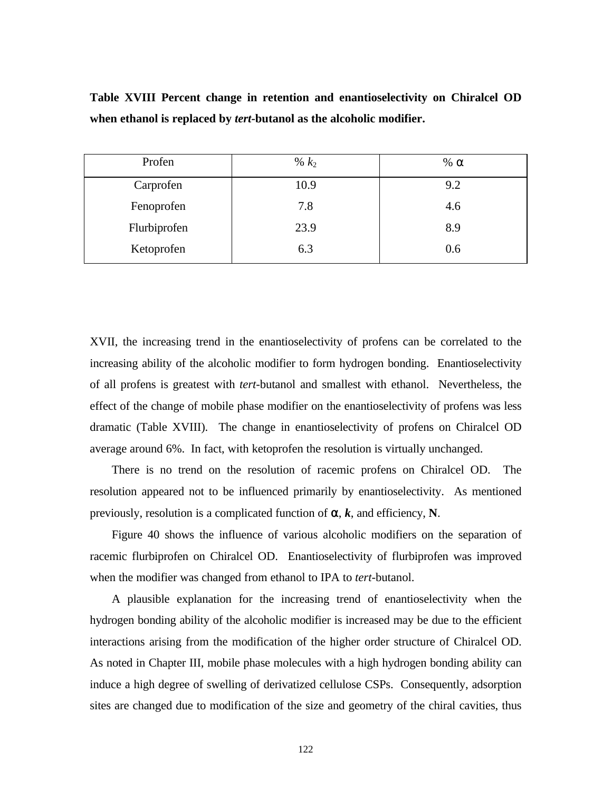| Profen       | % $k_2$ | % $\alpha$ |
|--------------|---------|------------|
| Carprofen    | 10.9    | 9.2        |
| Fenoprofen   | 7.8     | 4.6        |
| Flurbiprofen | 23.9    | 8.9        |
| Ketoprofen   | 6.3     | 0.6        |

**Table XVIII Percent change in retention and enantioselectivity on Chiralcel OD when ethanol is replaced by** *tert***-butanol as the alcoholic modifier.**

XVII, the increasing trend in the enantioselectivity of profens can be correlated to the increasing ability of the alcoholic modifier to form hydrogen bonding. Enantioselectivity of all profens is greatest with *tert*-butanol and smallest with ethanol. Nevertheless, the effect of the change of mobile phase modifier on the enantioselectivity of profens was less dramatic (Table XVIII). The change in enantioselectivity of profens on Chiralcel OD average around 6%. In fact, with ketoprofen the resolution is virtually unchanged.

 There is no trend on the resolution of racemic profens on Chiralcel OD. The resolution appeared not to be influenced primarily by enantioselectivity. As mentioned previously, resolution is a complicated function of  $\alpha$ ,  $k$ , and efficiency, N.

 Figure 40 shows the influence of various alcoholic modifiers on the separation of racemic flurbiprofen on Chiralcel OD. Enantioselectivity of flurbiprofen was improved when the modifier was changed from ethanol to IPA to *tert*-butanol.

 A plausible explanation for the increasing trend of enantioselectivity when the hydrogen bonding ability of the alcoholic modifier is increased may be due to the efficient interactions arising from the modification of the higher order structure of Chiralcel OD. As noted in Chapter III, mobile phase molecules with a high hydrogen bonding ability can induce a high degree of swelling of derivatized cellulose CSPs. Consequently, adsorption sites are changed due to modification of the size and geometry of the chiral cavities, thus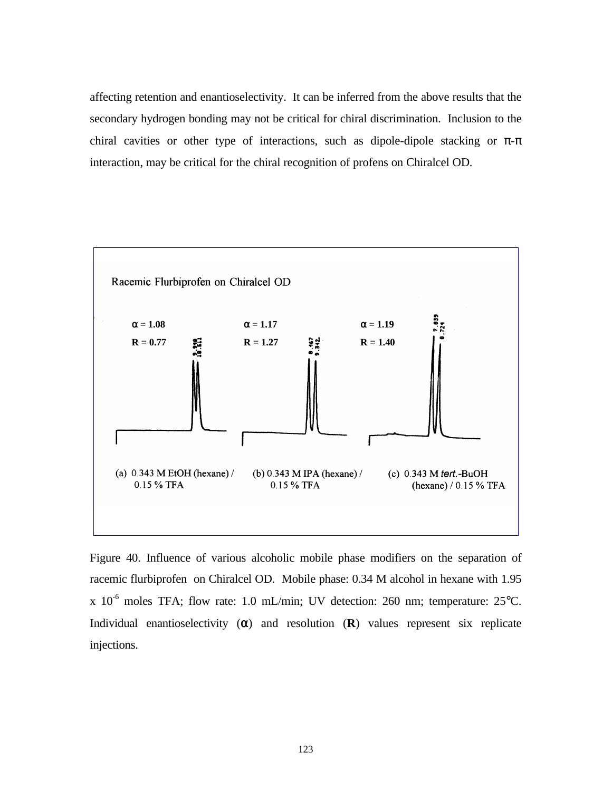affecting retention and enantioselectivity. It can be inferred from the above results that the secondary hydrogen bonding may not be critical for chiral discrimination. Inclusion to the chiral cavities or other type of interactions, such as dipole-dipole stacking or  $\pi$ - $\pi$ interaction, may be critical for the chiral recognition of profens on Chiralcel OD.



Figure 40. Influence of various alcoholic mobile phase modifiers on the separation of racemic flurbiprofen on Chiralcel OD. Mobile phase: 0.34 M alcohol in hexane with 1.95 x  $10^{-6}$  moles TFA; flow rate: 1.0 mL/min; UV detection: 260 nm; temperature: 25°C. Individual enantioselectivity  $(\alpha)$  and resolution  $(R)$  values represent six replicate injections.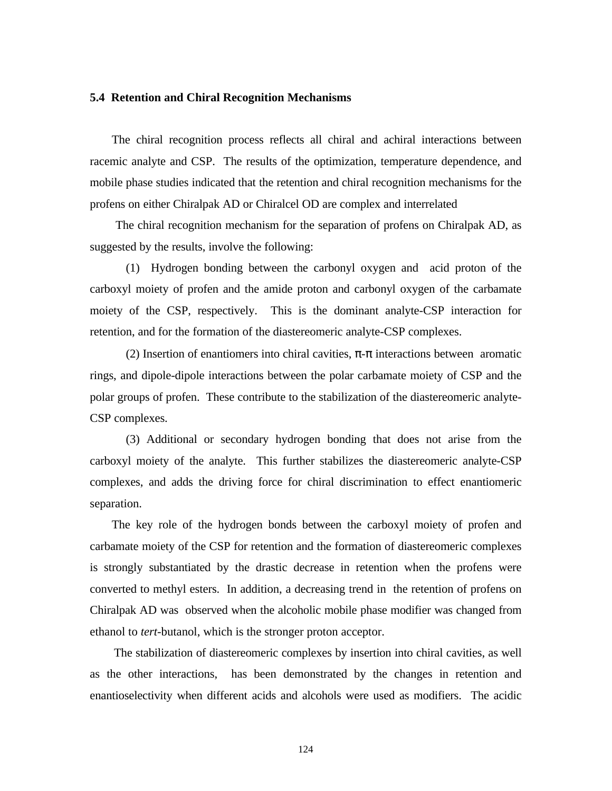## **5.4 Retention and Chiral Recognition Mechanisms**

 The chiral recognition process reflects all chiral and achiral interactions between racemic analyte and CSP. The results of the optimization, temperature dependence, and mobile phase studies indicated that the retention and chiral recognition mechanisms for the profens on either Chiralpak AD or Chiralcel OD are complex and interrelated

 The chiral recognition mechanism for the separation of profens on Chiralpak AD, as suggested by the results, involve the following:

(1) Hydrogen bonding between the carbonyl oxygen and acid proton of the carboxyl moiety of profen and the amide proton and carbonyl oxygen of the carbamate moiety of the CSP, respectively. This is the dominant analyte-CSP interaction for retention, and for the formation of the diastereomeric analyte-CSP complexes.

(2) Insertion of enantiomers into chiral cavities,  $\pi$ - $\pi$  interactions between aromatic rings, and dipole-dipole interactions between the polar carbamate moiety of CSP and the polar groups of profen. These contribute to the stabilization of the diastereomeric analyte-CSP complexes.

(3) Additional or secondary hydrogen bonding that does not arise from the carboxyl moiety of the analyte. This further stabilizes the diastereomeric analyte-CSP complexes, and adds the driving force for chiral discrimination to effect enantiomeric separation.

 The key role of the hydrogen bonds between the carboxyl moiety of profen and carbamate moiety of the CSP for retention and the formation of diastereomeric complexes is strongly substantiated by the drastic decrease in retention when the profens were converted to methyl esters. In addition, a decreasing trend in the retention of profens on Chiralpak AD was observed when the alcoholic mobile phase modifier was changed from ethanol to *tert*-butanol, which is the stronger proton acceptor.

 The stabilization of diastereomeric complexes by insertion into chiral cavities, as well as the other interactions, has been demonstrated by the changes in retention and enantioselectivity when different acids and alcohols were used as modifiers. The acidic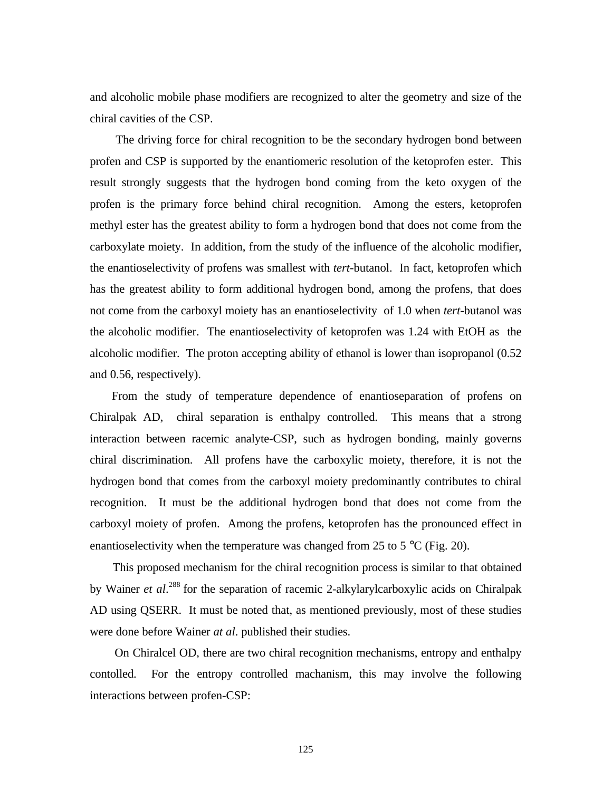and alcoholic mobile phase modifiers are recognized to alter the geometry and size of the chiral cavities of the CSP.

 The driving force for chiral recognition to be the secondary hydrogen bond between profen and CSP is supported by the enantiomeric resolution of the ketoprofen ester. This result strongly suggests that the hydrogen bond coming from the keto oxygen of the profen is the primary force behind chiral recognition. Among the esters, ketoprofen methyl ester has the greatest ability to form a hydrogen bond that does not come from the carboxylate moiety. In addition, from the study of the influence of the alcoholic modifier, the enantioselectivity of profens was smallest with *tert*-butanol. In fact, ketoprofen which has the greatest ability to form additional hydrogen bond, among the profens, that does not come from the carboxyl moiety has an enantioselectivity of 1.0 when *tert*-butanol was the alcoholic modifier. The enantioselectivity of ketoprofen was 1.24 with EtOH as the alcoholic modifier. The proton accepting ability of ethanol is lower than isopropanol (0.52 and 0.56, respectively).

 From the study of temperature dependence of enantioseparation of profens on Chiralpak AD, chiral separation is enthalpy controlled. This means that a strong interaction between racemic analyte-CSP, such as hydrogen bonding, mainly governs chiral discrimination. All profens have the carboxylic moiety, therefore, it is not the hydrogen bond that comes from the carboxyl moiety predominantly contributes to chiral recognition. It must be the additional hydrogen bond that does not come from the carboxyl moiety of profen. Among the profens, ketoprofen has the pronounced effect in enantioselectivity when the temperature was changed from 25 to 5  $^{\circ}$ C (Fig. 20).

 This proposed mechanism for the chiral recognition process is similar to that obtained by Wainer *et al.*<sup>288</sup> for the separation of racemic 2-alkylarylcarboxylic acids on Chiralpak AD using QSERR. It must be noted that, as mentioned previously, most of these studies were done before Wainer *at al*. published their studies.

 On Chiralcel OD, there are two chiral recognition mechanisms, entropy and enthalpy contolled. For the entropy controlled machanism, this may involve the following interactions between profen-CSP: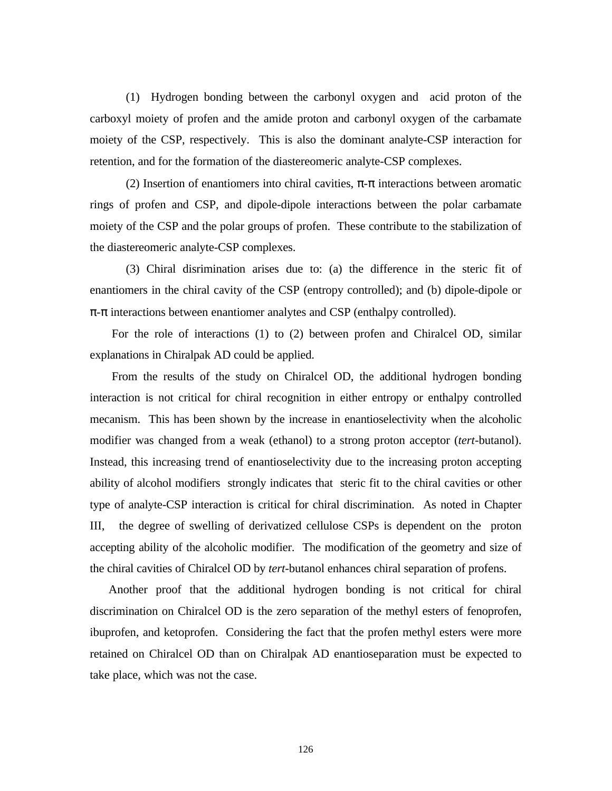(1) Hydrogen bonding between the carbonyl oxygen and acid proton of the carboxyl moiety of profen and the amide proton and carbonyl oxygen of the carbamate moiety of the CSP, respectively. This is also the dominant analyte-CSP interaction for retention, and for the formation of the diastereomeric analyte-CSP complexes.

(2) Insertion of enantiomers into chiral cavities,  $\pi$ - $\pi$  interactions between aromatic rings of profen and CSP, and dipole-dipole interactions between the polar carbamate moiety of the CSP and the polar groups of profen. These contribute to the stabilization of the diastereomeric analyte-CSP complexes.

(3) Chiral disrimination arises due to: (a) the difference in the steric fit of enantiomers in the chiral cavity of the CSP (entropy controlled); and (b) dipole-dipole or  $\pi$ - $\pi$  interactions between enantiomer analytes and CSP (enthalpy controlled).

 For the role of interactions (1) to (2) between profen and Chiralcel OD, similar explanations in Chiralpak AD could be applied.

 From the results of the study on Chiralcel OD, the additional hydrogen bonding interaction is not critical for chiral recognition in either entropy or enthalpy controlled mecanism. This has been shown by the increase in enantioselectivity when the alcoholic modifier was changed from a weak (ethanol) to a strong proton acceptor (*tert*-butanol). Instead, this increasing trend of enantioselectivity due to the increasing proton accepting ability of alcohol modifiers strongly indicates that steric fit to the chiral cavities or other type of analyte-CSP interaction is critical for chiral discrimination. As noted in Chapter III, the degree of swelling of derivatized cellulose CSPs is dependent on the proton accepting ability of the alcoholic modifier. The modification of the geometry and size of the chiral cavities of Chiralcel OD by *tert*-butanol enhances chiral separation of profens.

 Another proof that the additional hydrogen bonding is not critical for chiral discrimination on Chiralcel OD is the zero separation of the methyl esters of fenoprofen, ibuprofen, and ketoprofen. Considering the fact that the profen methyl esters were more retained on Chiralcel OD than on Chiralpak AD enantioseparation must be expected to take place, which was not the case.